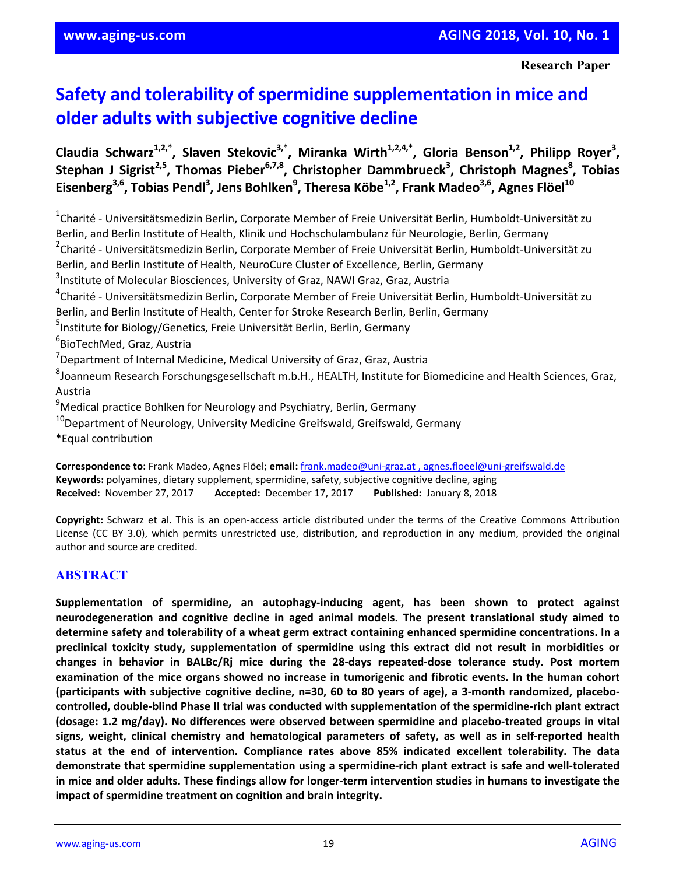**Research Paper** 

# **Safety and tolerability of spermidine supplementation in mice and older adults with subjective cognitive decline**

Claudia Schwarz<sup>1,2,\*</sup>, Slaven Stekovic<sup>3,\*</sup>, Miranka Wirth<sup>1,2,4,\*</sup>, Gloria Benson<sup>1,2</sup>, Philipp Royer<sup>3</sup>, **Stephan J Sigrist2,5, Thomas Pieber6,7,8, Christopher Dammbrueck3 , Christoph Magnes8 , Tobias Eisenberg3,6, Tobias Pendl3 , Jens Bohlken9 , Theresa Köbe1,2, Frank Madeo3,6, Agnes Flöel10** 

1 Charité ‐ Universitätsmedizin Berlin, Corporate Member of Freie Universität Berlin, Humboldt‐Universität zu Berlin, and Berlin Institute of Health, Klinik und Hochschulambulanz für Neurologie, Berlin, Germany <sup>2</sup>Charité - Universitätsmedizin Berlin, Corporate Member of Freie Universität Berlin, Humboldt-Universität zu Berlin, and Berlin Institute of Health, NeuroCure Cluster of Excellence, Berlin, Germany <sup>3</sup>Institute of Molecular Biosciences, University of Graz, NAWI Graz, Graz, Austria 4 Charité ‐ Universitätsmedizin Berlin, Corporate Member of Freie Universität Berlin, Humboldt‐Universität zu Berlin, and Berlin Institute of Health, Center for Stroke Research Berlin, Berlin, Germany <sup>5</sup>Institute for Biology/Genetics, Freie Universität Berlin, Berlin, Germany <sup>6</sup>BioTechMed, Graz, Austria <sup>7</sup> Department of Internal Medicine, Medical University of Graz, Graz, Austria <sup>8</sup>Joanneum Research Forschungsgesellschaft m.b.H., HEALTH, Institute for Biomedicine and Health Sciences, Graz, Austria <sup>9</sup>Medical practice Bohlken for Neurology and Psychiatry, Berlin, Germany  $10$ Department of Neurology, University Medicine Greifswald, Greifswald, Germany \*Equal contribution

**Correspondence to:** Frank Madeo, Agnes Flöel; **email:** frank.madeo@uni‐graz.at , agnes.floeel@uni‐greifswald.de **Keywords:** polyamines, dietary supplement, spermidine, safety, subjective cognitive decline, aging **Received:** November 27, 2017 **Accepted:** December 17, 2017 **Published:** January 8, 2018

**Copyright:** Schwarz et al. This is an open‐access article distributed under the terms of the Creative Commons Attribution License (CC BY 3.0), which permits unrestricted use, distribution, and reproduction in any medium, provided the original author and source are credited.

# **ABSTRACT**

**Supplementation of spermidine, an autophagy‐inducing agent, has been shown to protect against neurodegeneration and cognitive decline in aged animal models. The present translational study aimed to determine safety and tolerability of a wheat germ extract containing enhanced spermidine concentrations. In a preclinical toxicity study, supplementation of spermidine using this extract did not result in morbidities or changes in behavior in BALBc/Rj mice during the 28‐days repeated‐dose tolerance study. Post mortem examination of the mice organs showed no increase in tumorigenic and fibrotic events. In the human cohort** (participants with subjective cognitive decline, n=30, 60 to 80 years of age), a 3-month randomized, placebocontrolled, double-blind Phase II trial was conducted with supplementation of the spermidine-rich plant extract **(dosage: 1.2 mg/day). No differences were observed between spermidine and placebo‐treated groups in vital** signs, weight, clinical chemistry and hematological parameters of safety, as well as in self-reported health **status at the end of intervention. Compliance rates above 85% indicated excellent tolerability. The data** demonstrate that spermidine supplementation using a spermidine-rich plant extract is safe and well-tolerated in mice and older adults. These findings allow for longer-term intervention studies in humans to investigate the **impact of spermidine treatment on cognition and brain integrity.**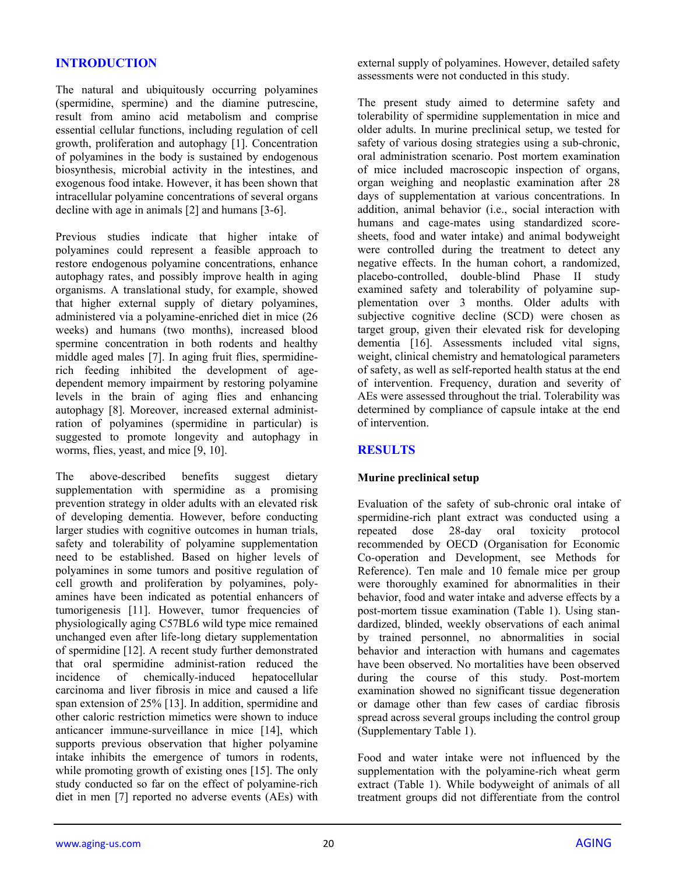# **INTRODUCTION**

The natural and ubiquitously occurring polyamines (spermidine, spermine) and the diamine putrescine, result from amino acid metabolism and comprise essential cellular functions, including regulation of cell growth, proliferation and autophagy [1]. Concentration of polyamines in the body is sustained by endogenous biosynthesis, microbial activity in the intestines, and exogenous food intake. However, it has been shown that intracellular polyamine concentrations of several organs decline with age in animals [2] and humans [3-6].

Previous studies indicate that higher intake of polyamines could represent a feasible approach to restore endogenous polyamine concentrations, enhance autophagy rates, and possibly improve health in aging organisms. A translational study, for example, showed that higher external supply of dietary polyamines, administered via a polyamine-enriched diet in mice (26 weeks) and humans (two months), increased blood spermine concentration in both rodents and healthy middle aged males [7]. In aging fruit flies, spermidinerich feeding inhibited the development of agedependent memory impairment by restoring polyamine levels in the brain of aging flies and enhancing autophagy [8]. Moreover, increased external administration of polyamines (spermidine in particular) is suggested to promote longevity and autophagy in worms, flies, yeast, and mice [9, 10].

The above-described benefits suggest dietary supplementation with spermidine as a promising prevention strategy in older adults with an elevated risk of developing dementia. However, before conducting larger studies with cognitive outcomes in human trials, safety and tolerability of polyamine supplementation need to be established. Based on higher levels of polyamines in some tumors and positive regulation of cell growth and proliferation by polyamines, polyamines have been indicated as potential enhancers of tumorigenesis [11]. However, tumor frequencies of physiologically aging C57BL6 wild type mice remained unchanged even after life-long dietary supplementation of spermidine [12]. A recent study further demonstrated that oral spermidine administ-ration reduced the incidence of chemically-induced hepatocellular carcinoma and liver fibrosis in mice and caused a life span extension of 25% [13]. In addition, spermidine and other caloric restriction mimetics were shown to induce anticancer immune-surveillance in mice [14], which supports previous observation that higher polyamine intake inhibits the emergence of tumors in rodents, while promoting growth of existing ones [15]. The only study conducted so far on the effect of polyamine-rich diet in men [7] reported no adverse events (AEs) with

external supply of polyamines. However, detailed safety assessments were not conducted in this study.

The present study aimed to determine safety and tolerability of spermidine supplementation in mice and older adults. In murine preclinical setup, we tested for safety of various dosing strategies using a sub-chronic, oral administration scenario. Post mortem examination of mice included macroscopic inspection of organs, organ weighing and neoplastic examination after 28 days of supplementation at various concentrations. In addition, animal behavior (i.e., social interaction with humans and cage-mates using standardized scoresheets, food and water intake) and animal bodyweight were controlled during the treatment to detect any negative effects. In the human cohort, a randomized, placebo-controlled, double-blind Phase II study examined safety and tolerability of polyamine supplementation over 3 months. Older adults with subjective cognitive decline (SCD) were chosen as target group, given their elevated risk for developing dementia [16]. Assessments included vital signs, weight, clinical chemistry and hematological parameters of safety, as well as self-reported health status at the end of intervention. Frequency, duration and severity of AEs were assessed throughout the trial. Tolerability was determined by compliance of capsule intake at the end of intervention.

# **RESULTS**

# **Murine preclinical setup**

Evaluation of the safety of sub-chronic oral intake of spermidine-rich plant extract was conducted using a repeated dose 28-day oral toxicity protocol recommended by OECD (Organisation for Economic Co-operation and Development, see Methods for Reference). Ten male and 10 female mice per group were thoroughly examined for abnormalities in their behavior, food and water intake and adverse effects by a post-mortem tissue examination (Table 1). Using standardized, blinded, weekly observations of each animal by trained personnel, no abnormalities in social behavior and interaction with humans and cagemates have been observed. No mortalities have been observed during the course of this study. Post-mortem examination showed no significant tissue degeneration or damage other than few cases of cardiac fibrosis spread across several groups including the control group (Supplementary Table 1).

Food and water intake were not influenced by the supplementation with the polyamine-rich wheat germ extract (Table 1). While bodyweight of animals of all treatment groups did not differentiate from the control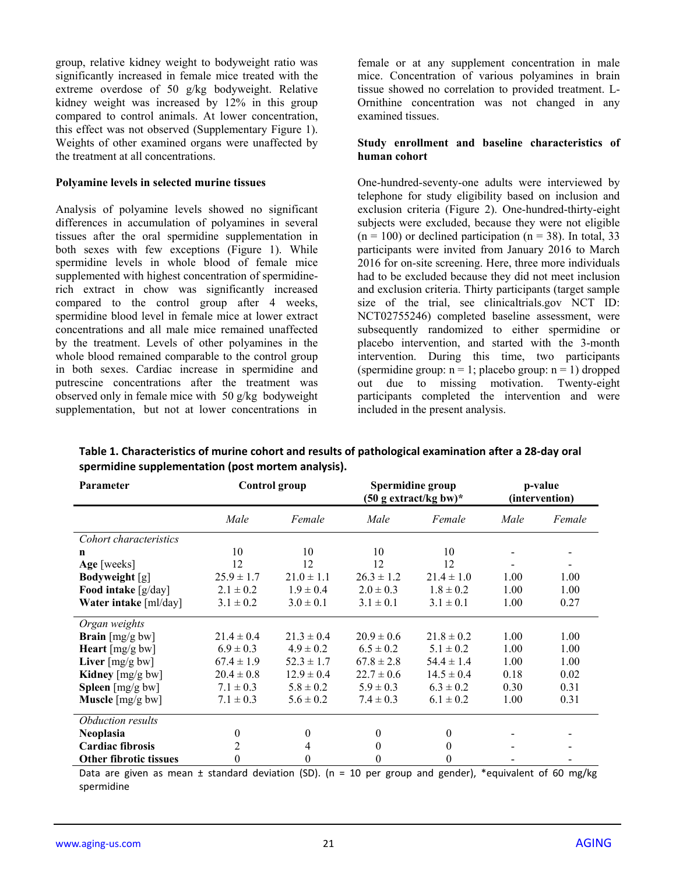group, relative kidney weight to bodyweight ratio was significantly increased in female mice treated with the extreme overdose of 50 g/kg bodyweight. Relative kidney weight was increased by 12% in this group compared to control animals. At lower concentration, this effect was not observed (Supplementary Figure 1). Weights of other examined organs were unaffected by the treatment at all concentrations.

#### **Polyamine levels in selected murine tissues**

Analysis of polyamine levels showed no significant differences in accumulation of polyamines in several tissues after the oral spermidine supplementation in both sexes with few exceptions (Figure 1). While spermidine levels in whole blood of female mice supplemented with highest concentration of spermidinerich extract in chow was significantly increased compared to the control group after 4 weeks, spermidine blood level in female mice at lower extract concentrations and all male mice remained unaffected by the treatment. Levels of other polyamines in the whole blood remained comparable to the control group in both sexes. Cardiac increase in spermidine and putrescine concentrations after the treatment was observed only in female mice with 50 g/kg bodyweight supplementation, but not at lower concentrations in

female or at any supplement concentration in male mice. Concentration of various polyamines in brain tissue showed no correlation to provided treatment. L-Ornithine concentration was not changed in any examined tissues.

#### **Study enrollment and baseline characteristics of human cohort**

One-hundred-seventy-one adults were interviewed by telephone for study eligibility based on inclusion and exclusion criteria (Figure 2). One-hundred-thirty-eight subjects were excluded, because they were not eligible  $(n = 100)$  or declined participation  $(n = 38)$ . In total, 33 participants were invited from January 2016 to March 2016 for on-site screening. Here, three more individuals had to be excluded because they did not meet inclusion and exclusion criteria. Thirty participants (target sample size of the trial, see clinicaltrials.gov NCT ID: NCT02755246) completed baseline assessment, were subsequently randomized to either spermidine or placebo intervention, and started with the 3-month intervention. During this time, two participants (spermidine group:  $n = 1$ ; placebo group:  $n = 1$ ) dropped out due to missing motivation. Twenty-eight participants completed the intervention and were included in the present analysis.

| <b>Parameter</b>                     |                | <b>Control</b> group | Spermidine group<br>$(50 \text{ g extract/kg bw})^*$ |                | p-value<br>(intervention) |        |
|--------------------------------------|----------------|----------------------|------------------------------------------------------|----------------|---------------------------|--------|
|                                      | Male           | Female               | Male                                                 | Female         | Male                      | Female |
| Cohort characteristics               |                |                      |                                                      |                |                           |        |
| n                                    | 10             | 10                   | 10                                                   | 10             |                           |        |
| Age [weeks]                          | 12             | 12                   | 12                                                   | 12             |                           |        |
| <b>Bodyweight</b> [g]                | $25.9 \pm 1.7$ | $21.0 \pm 1.1$       | $26.3 \pm 1.2$                                       | $21.4 \pm 1.0$ | 1.00                      | 1.00   |
| Food intake [g/day]                  | $2.1 \pm 0.2$  | $1.9 \pm 0.4$        | $2.0 \pm 0.3$                                        | $1.8 \pm 0.2$  | 1.00                      | 1.00   |
| Water intake [ml/day]                | $3.1 \pm 0.2$  | $3.0 \pm 0.1$        | $3.1 \pm 0.1$                                        | $3.1 \pm 0.1$  | 1.00                      | 0.27   |
| Organ weights                        |                |                      |                                                      |                |                           |        |
| <b>Brain</b> $[mg/g]$ bw]            | $21.4 \pm 0.4$ | $21.3 \pm 0.4$       | $20.9 \pm 0.6$                                       | $21.8 \pm 0.2$ | 1.00                      | 1.00   |
| Heart $[mg/g]$ bw]                   | $6.9 \pm 0.3$  | $4.9 \pm 0.2$        | $6.5 \pm 0.2$                                        | $5.1 \pm 0.2$  | 1.00                      | 1.00   |
| Liver $\lceil \text{mg/g bw} \rceil$ | $67.4 \pm 1.9$ | $52.3 \pm 1.7$       | $67.8 \pm 2.8$                                       | $54.4 \pm 1.4$ | 1.00                      | 1.00   |
| Kidney $[mg/g bw]$                   | $20.4 \pm 0.8$ | $12.9 \pm 0.4$       | $22.7 \pm 0.6$                                       | $14.5 \pm 0.4$ | 0.18                      | 0.02   |
| <b>Spleen</b> $[mg/g bw]$            | $7.1 \pm 0.3$  | $5.8 \pm 0.2$        | $5.9 \pm 0.3$                                        | $6.3 \pm 0.2$  | 0.30                      | 0.31   |
| <b>Muscle</b> $[mg/g bw]$            | $7.1 \pm 0.3$  | $5.6 \pm 0.2$        | $7.4 \pm 0.3$                                        | $6.1 \pm 0.2$  | 1.00                      | 0.31   |
| Obduction results                    |                |                      |                                                      |                |                           |        |
| <b>Neoplasia</b>                     | $\theta$       | $\theta$             | 0                                                    | 0              |                           |        |
| <b>Cardiac fibrosis</b>              | 2              | 4                    | 0                                                    | $\theta$       |                           |        |
| <b>Other fibrotic tissues</b>        | $_{0}$         | 0                    | 0                                                    | $_{0}$         |                           |        |

**Table 1. Characteristics of murine cohort and results of pathological examination after a 28‐day oral spermidine supplementation (post mortem analysis).**

Data are given as mean  $\pm$  standard deviation (SD). (n = 10 per group and gender), \*equivalent of 60 mg/kg spermidine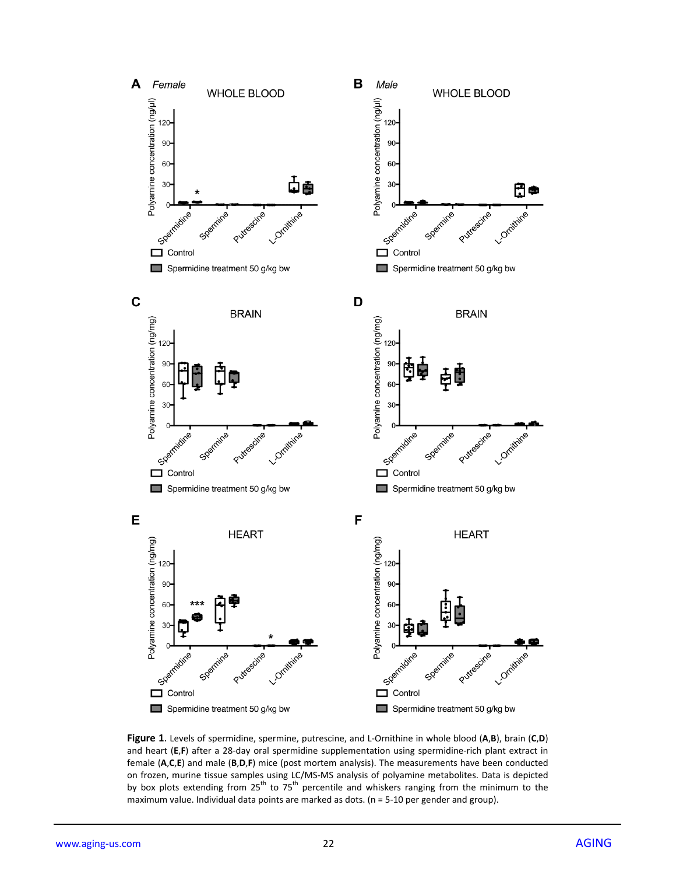

**Figure 1**. Levels of spermidine, spermine, putrescine, and L‐Ornithine in whole blood (**A**,**B**), brain (**C**,**D**) and heart (E,F) after a 28-day oral spermidine supplementation using spermidine-rich plant extract in female (**A**,**C**,**E**) and male (**B**,**D**,**F**) mice (post mortem analysis). The measurements have been conducted on frozen, murine tissue samples using LC/MS‐MS analysis of polyamine metabolites. Data is depicted by box plots extending from 25<sup>th</sup> to 75<sup>th</sup> percentile and whiskers ranging from the minimum to the maximum value. Individual data points are marked as dots. ( $n = 5-10$  per gender and group).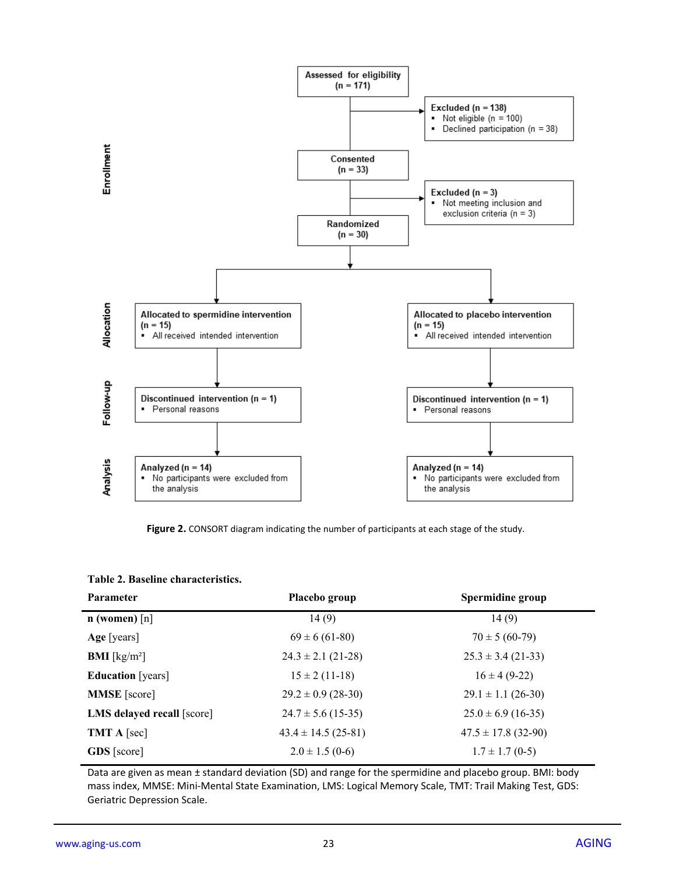

**Figure 2.** CONSORT diagram indicating the number of participants at each stage of the study.

#### **Table 2. Baseline characteristics.**

| <b>Parameter</b>           | Placebo group          | Spermidine group        |
|----------------------------|------------------------|-------------------------|
| $n$ (women) $[n]$          | 14(9)                  | 14(9)                   |
| Age [years]                | $69 \pm 6 (61 - 80)$   | $70 \pm 5(60-79)$       |
| <b>BMI</b> [ $kg/m2$ ]     | $24.3 \pm 2.1$ (21-28) | $25.3 \pm 3.4$ (21-33)  |
| <b>Education</b> [years]   | $15 \pm 2(11-18)$      | $16 \pm 4 (9-22)$       |
| <b>MMSE</b> [score]        | $29.2 \pm 0.9$ (28-30) | $29.1 \pm 1.1$ (26-30)  |
| LMS delayed recall [score] | $24.7 \pm 5.6$ (15-35) | $25.0 \pm 6.9$ (16-35)  |
| <b>TMT</b> A [sec]         | $43.4 \pm 14.5(25-81)$ | $47.5 \pm 17.8$ (32-90) |
| <b>GDS</b> [score]         | $2.0 \pm 1.5$ (0-6)    | $1.7 \pm 1.7$ (0-5)     |

Data are given as mean ± standard deviation (SD) and range for the spermidine and placebo group. BMI: body mass index, MMSE: Mini‐Mental State Examination, LMS: Logical Memory Scale, TMT: Trail Making Test, GDS: Geriatric Depression Scale.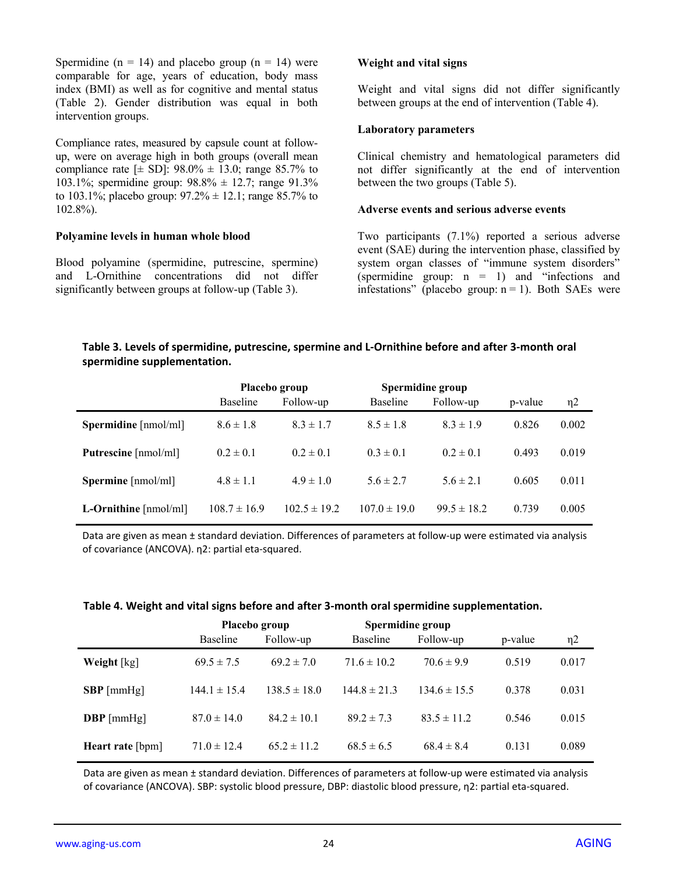Spermidine ( $n = 14$ ) and placebo group ( $n = 14$ ) were comparable for age, years of education, body mass index (BMI) as well as for cognitive and mental status (Table 2). Gender distribution was equal in both intervention groups.

Compliance rates, measured by capsule count at followup, were on average high in both groups (overall mean compliance rate  $[\pm S D]$ : 98.0%  $\pm$  13.0; range 85.7% to 103.1%; spermidine group: 98.8% ± 12.7; range 91.3% to 103.1%; placebo group:  $97.2\% \pm 12.1$ ; range 85.7% to 102.8%).

#### **Polyamine levels in human whole blood**

Blood polyamine (spermidine, putrescine, spermine) and L-Ornithine concentrations did not differ significantly between groups at follow-up (Table 3).

#### **Weight and vital signs**

Weight and vital signs did not differ significantly between groups at the end of intervention (Table 4).

#### **Laboratory parameters**

Clinical chemistry and hematological parameters did not differ significantly at the end of intervention between the two groups (Table 5).

#### **Adverse events and serious adverse events**

Two participants (7.1%) reported a serious adverse event (SAE) during the intervention phase, classified by system organ classes of "immune system disorders" (spermidine group:  $n = 1$ ) and "infections and infestations" (placebo group:  $n = 1$ ). Both SAEs were

#### **Table 3. Levels of spermidine, putrescine, spermine and L‐Ornithine before and after 3‐month oral spermidine supplementation.**

|                                                  | Placebo group    |                  | Spermidine group |                 |         |          |
|--------------------------------------------------|------------------|------------------|------------------|-----------------|---------|----------|
|                                                  | <b>Baseline</b>  | Follow-up        | <b>Baseline</b>  | Follow-up       | p-value | $\eta$ 2 |
| <b>Spermidine</b> $\lceil \text{nmol/ml} \rceil$ | $8.6 \pm 1.8$    | $8.3 \pm 1.7$    | $8.5 \pm 1.8$    | $8.3 \pm 1.9$   | 0.826   | 0.002    |
| Putrescine [nmol/ml]                             | $0.2 \pm 0.1$    | $0.2 \pm 0.1$    | $0.3 \pm 0.1$    | $0.2 \pm 0.1$   | 0.493   | 0.019    |
| Spermine [nmol/ml]                               | $4.8 \pm 1.1$    | $4.9 \pm 1.0$    | $5.6 \pm 2.7$    | $5.6 \pm 2.1$   | 0.605   | 0.011    |
| L-Ornithine $[{\rm nmol/ml}]$                    | $108.7 \pm 16.9$ | $102.5 \pm 19.2$ | $107.0 \pm 19.0$ | $99.5 \pm 18.2$ | 0.739   | 0.005    |

Data are given as mean ± standard deviation. Differences of parameters at follow-up were estimated via analysis of covariance (ANCOVA). η2: partial eta‐squared.

#### **Table 4. Weight and vital signs before and after 3‐month oral spermidine supplementation.**

|                  | Placebo group    |                  |                  | Spermidine group |         |          |
|------------------|------------------|------------------|------------------|------------------|---------|----------|
|                  | <b>Baseline</b>  | Follow-up        | <b>Baseline</b>  | Follow-up        | p-value | $\eta$ 2 |
| Weight [kg]      | $69.5 \pm 7.5$   | $69.2 \pm 7.0$   | $71.6 \pm 10.2$  | $70.6 \pm 9.9$   | 0.519   | 0.017    |
| $SBP$ [mmHg]     | $144.1 \pm 15.4$ | $138.5 \pm 18.0$ | $144.8 \pm 21.3$ | $134.6 \pm 15.5$ | 0.378   | 0.031    |
| $DBP$ [mmHg]     | $87.0 \pm 14.0$  | $84.2 \pm 10.1$  | $892 \pm 73$     | $83.5 \pm 11.2$  | 0.546   | 0.015    |
| Heart rate [bpm] | $71.0 \pm 12.4$  | $65.2 \pm 11.2$  | $68.5 \pm 6.5$   | $68.4 \pm 8.4$   | 0.131   | 0.089    |

Data are given as mean ± standard deviation. Differences of parameters at follow‐up were estimated via analysis of covariance (ANCOVA). SBP: systolic blood pressure, DBP: diastolic blood pressure, η2: partial eta‐squared.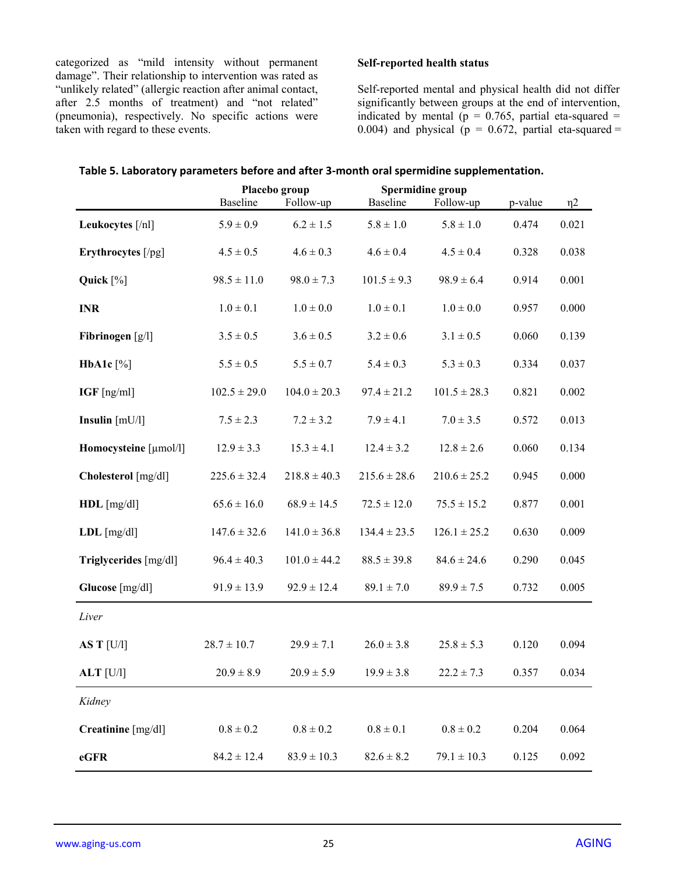categorized as "mild intensity without permanent damage". Their relationship to intervention was rated as "unlikely related" (allergic reaction after animal contact, after 2.5 months of treatment) and "not related" (pneumonia), respectively. No specific actions were taken with regard to these events.

## **Self-reported health status**

Self-reported mental and physical health did not differ significantly between groups at the end of intervention, indicated by mental ( $p = 0.765$ , partial eta-squared = 0.004) and physical ( $p = 0.672$ , partial eta-squared =

| Table 5. Laboratory parameters before and after 3-month oral spermidine supplementation. |  |  |
|------------------------------------------------------------------------------------------|--|--|
|------------------------------------------------------------------------------------------|--|--|

|                       |                  | Placebo group    | Spermidine group |                  |         |          |
|-----------------------|------------------|------------------|------------------|------------------|---------|----------|
|                       | <b>Baseline</b>  | Follow-up        | <b>Baseline</b>  | Follow-up        | p-value | $\eta$ 2 |
| Leukocytes [/nl]      | $5.9 \pm 0.9$    | $6.2 \pm 1.5$    | $5.8 \pm 1.0$    | $5.8 \pm 1.0$    | 0.474   | 0.021    |
| Erythrocytes [/pg]    | $4.5 \pm 0.5$    | $4.6 \pm 0.3$    | $4.6 \pm 0.4$    | $4.5 \pm 0.4$    | 0.328   | 0.038    |
| Quick $[\%]$          | $98.5 \pm 11.0$  | $98.0 \pm 7.3$   | $101.5 \pm 9.3$  | $98.9 \pm 6.4$   | 0.914   | 0.001    |
| <b>INR</b>            | $1.0 \pm 0.1$    | $1.0 \pm 0.0$    | $1.0 \pm 0.1$    | $1.0 \pm 0.0$    | 0.957   | 0.000    |
| Fibrinogen $[g/l]$    | $3.5 \pm 0.5$    | $3.6 \pm 0.5$    | $3.2 \pm 0.6$    | $3.1 \pm 0.5$    | 0.060   | 0.139    |
| HbA1c $[\%]$          | $5.5 \pm 0.5$    | $5.5 \pm 0.7$    | $5.4 \pm 0.3$    | $5.3 \pm 0.3$    | 0.334   | 0.037    |
| $IGF$ [ng/ml]         | $102.5 \pm 29.0$ | $104.0 \pm 20.3$ | $97.4 \pm 21.2$  | $101.5 \pm 28.3$ | 0.821   | 0.002    |
| Insulin $[mU/l]$      | $7.5 \pm 2.3$    | $7.2 \pm 3.2$    | $7.9 \pm 4.1$    | $7.0 \pm 3.5$    | 0.572   | 0.013    |
| Homocysteine [µmol/l] | $12.9 \pm 3.3$   | $15.3 \pm 4.1$   | $12.4 \pm 3.2$   | $12.8 \pm 2.6$   | 0.060   | 0.134    |
| Cholesterol [mg/dl]   | $225.6 \pm 32.4$ | $218.8 \pm 40.3$ | $215.6 \pm 28.6$ | $210.6 \pm 25.2$ | 0.945   | 0.000    |
| $HDL$ [mg/dl]         | $65.6 \pm 16.0$  | $68.9 \pm 14.5$  | $72.5 \pm 12.0$  | $75.5 \pm 15.2$  | 0.877   | 0.001    |
| $LDL$ [mg/dl]         | $147.6 \pm 32.6$ | $141.0 \pm 36.8$ | $134.4 \pm 23.5$ | $126.1 \pm 25.2$ | 0.630   | 0.009    |
| Triglycerides [mg/dl] | $96.4 \pm 40.3$  | $101.0 \pm 44.2$ | $88.5 \pm 39.8$  | $84.6 \pm 24.6$  | 0.290   | 0.045    |
| Glucose [mg/dl]       | $91.9 \pm 13.9$  | $92.9 \pm 12.4$  | $89.1 \pm 7.0$   | $89.9 \pm 7.5$   | 0.732   | 0.005    |
| Liver                 |                  |                  |                  |                  |         |          |
| AS T $[U/l]$          | $28.7 \pm 10.7$  | $29.9 \pm 7.1$   | $26.0 \pm 3.8$   | $25.8 \pm 5.3$   | 0.120   | 0.094    |
| $ALT$ [U/l]           | $20.9 \pm 8.9$   | $20.9 \pm 5.9$   | $19.9 \pm 3.8$   | $22.2 \pm 7.3$   | 0.357   | 0.034    |
| Kidney                |                  |                  |                  |                  |         |          |
| Creatinine [mg/dl]    | $0.8 \pm 0.2$    | $0.8 \pm 0.2$    | $0.8 \pm 0.1$    | $0.8\pm0.2$      | 0.204   | 0.064    |
| eGFR                  | $84.2 \pm 12.4$  | $83.9 \pm 10.3$  | $82.6 \pm 8.2$   | $79.1 \pm 10.3$  | 0.125   | 0.092    |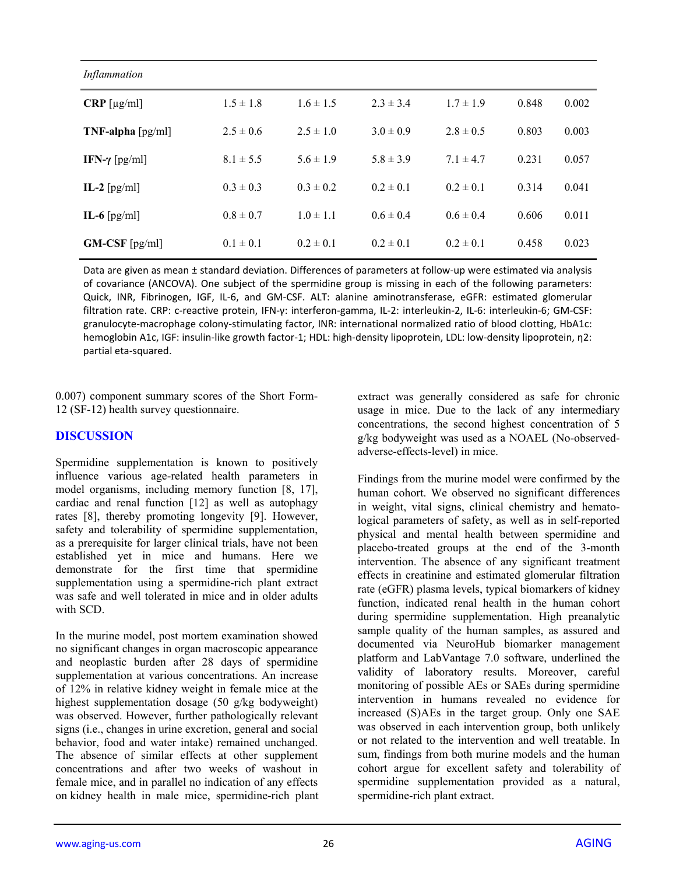| Inflammation                       |               |               |               |               |       |       |
|------------------------------------|---------------|---------------|---------------|---------------|-------|-------|
| $CRP$ [µg/ml]                      | $1.5 \pm 1.8$ | $1.6 \pm 1.5$ | $2.3 \pm 3.4$ | $1.7 \pm 1.9$ | 0.848 | 0.002 |
| $TNF$ -alpha $\lceil pg/ml \rceil$ | $2.5 \pm 0.6$ | $2.5 \pm 1.0$ | $3.0 \pm 0.9$ | $2.8 \pm 0.5$ | 0.803 | 0.003 |
| IFN- $\gamma$ [pg/ml]              | $8.1 \pm 5.5$ | $5.6 \pm 1.9$ | $5.8 \pm 3.9$ | $7.1 \pm 4.7$ | 0.231 | 0.057 |
| IL-2 $\lceil \text{pg/ml} \rceil$  | $0.3 \pm 0.3$ | $0.3 \pm 0.2$ | $0.2 \pm 0.1$ | $0.2 \pm 0.1$ | 0.314 | 0.041 |
| IL-6 $\lceil \text{pg/ml} \rceil$  | $0.8 \pm 0.7$ | $1.0 \pm 1.1$ | $0.6 \pm 0.4$ | $0.6 \pm 0.4$ | 0.606 | 0.011 |
| $GM-CSF$ [pg/ml]                   | $0.1 \pm 0.1$ | $0.2 \pm 0.1$ | $0.2 \pm 0.1$ | $0.2 \pm 0.1$ | 0.458 | 0.023 |

Data are given as mean ± standard deviation. Differences of parameters at follow-up were estimated via analysis of covariance (ANCOVA). One subject of the spermidine group is missing in each of the following parameters: Quick, INR, Fibrinogen, IGF, IL‐6, and GM‐CSF. ALT: alanine aminotransferase, eGFR: estimated glomerular filtration rate. CRP: c‐reactive protein, IFN‐γ: interferon‐gamma, IL‐2: interleukin‐2, IL‐6: interleukin‐6; GM‐CSF: granulocyte‐macrophage colony‐stimulating factor, INR: international normalized ratio of blood clotting, HbA1c: hemoglobin A1c, IGF: insulin‐like growth factor‐1; HDL: high‐density lipoprotein, LDL: low‐density lipoprotein, η2: partial eta‐squared.

0.007) component summary scores of the Short Form-12 (SF-12) health survey questionnaire.

## **DISCUSSION**

Spermidine supplementation is known to positively influence various age-related health parameters in model organisms, including memory function [8, 17], cardiac and renal function [12] as well as autophagy rates [8], thereby promoting longevity [9]. However, safety and tolerability of spermidine supplementation, as a prerequisite for larger clinical trials, have not been established yet in mice and humans. Here we demonstrate for the first time that spermidine supplementation using a spermidine-rich plant extract was safe and well tolerated in mice and in older adults with SCD.

In the murine model, post mortem examination showed no significant changes in organ macroscopic appearance and neoplastic burden after 28 days of spermidine supplementation at various concentrations. An increase of 12% in relative kidney weight in female mice at the highest supplementation dosage (50 g/kg bodyweight) was observed. However, further pathologically relevant signs (i.e., changes in urine excretion, general and social behavior, food and water intake) remained unchanged. The absence of similar effects at other supplement concentrations and after two weeks of washout in female mice, and in parallel no indication of any effects on kidney health in male mice, spermidine-rich plant extract was generally considered as safe for chronic usage in mice. Due to the lack of any intermediary concentrations, the second highest concentration of 5 g/kg bodyweight was used as a NOAEL (No-observedadverse-effects-level) in mice.

Findings from the murine model were confirmed by the human cohort. We observed no significant differences in weight, vital signs, clinical chemistry and hematological parameters of safety, as well as in self-reported physical and mental health between spermidine and placebo-treated groups at the end of the 3-month intervention. The absence of any significant treatment effects in creatinine and estimated glomerular filtration rate (eGFR) plasma levels, typical biomarkers of kidney function, indicated renal health in the human cohort during spermidine supplementation. High preanalytic sample quality of the human samples, as assured and documented via NeuroHub biomarker management platform and LabVantage 7.0 software, underlined the validity of laboratory results. Moreover, careful monitoring of possible AEs or SAEs during spermidine intervention in humans revealed no evidence for increased (S)AEs in the target group. Only one SAE was observed in each intervention group, both unlikely or not related to the intervention and well treatable. In sum, findings from both murine models and the human cohort argue for excellent safety and tolerability of spermidine supplementation provided as a natural, spermidine-rich plant extract.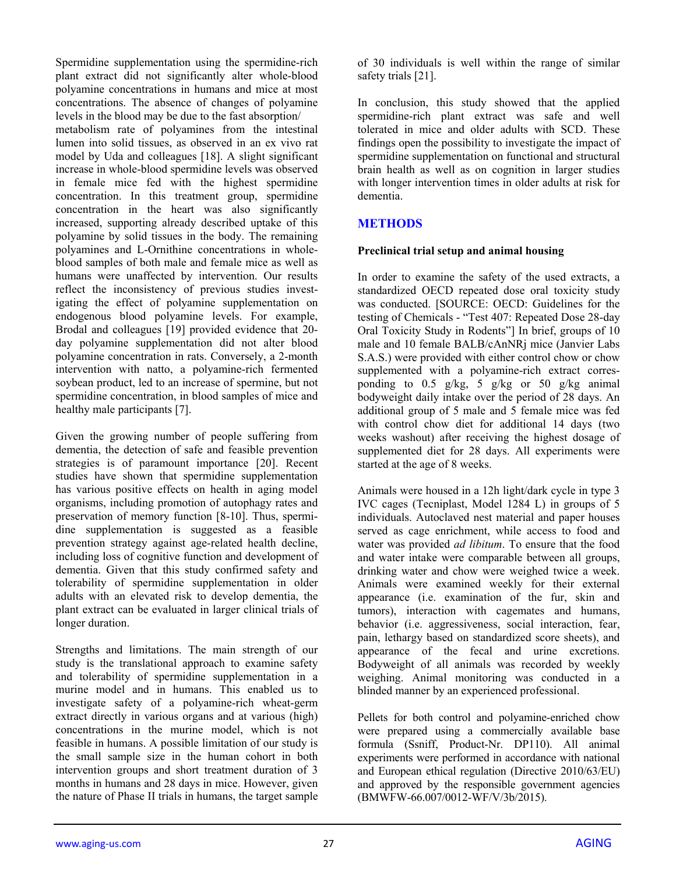Spermidine supplementation using the spermidine-rich plant extract did not significantly alter whole-blood polyamine concentrations in humans and mice at most concentrations. The absence of changes of polyamine levels in the blood may be due to the fast absorption/ metabolism rate of polyamines from the intestinal lumen into solid tissues, as observed in an ex vivo rat model by Uda and colleagues [18]. A slight significant increase in whole-blood spermidine levels was observed in female mice fed with the highest spermidine concentration. In this treatment group, spermidine concentration in the heart was also significantly increased, supporting already described uptake of this polyamine by solid tissues in the body. The remaining polyamines and L-Ornithine concentrations in wholeblood samples of both male and female mice as well as humans were unaffected by intervention. Our results reflect the inconsistency of previous studies investigating the effect of polyamine supplementation on endogenous blood polyamine levels. For example, Brodal and colleagues [19] provided evidence that 20 day polyamine supplementation did not alter blood polyamine concentration in rats. Conversely, a 2-month intervention with natto, a polyamine-rich fermented soybean product, led to an increase of spermine, but not spermidine concentration, in blood samples of mice and healthy male participants [7].

Given the growing number of people suffering from dementia, the detection of safe and feasible prevention strategies is of paramount importance [20]. Recent studies have shown that spermidine supplementation has various positive effects on health in aging model organisms, including promotion of autophagy rates and preservation of memory function [8-10]. Thus, spermidine supplementation is suggested as a feasible prevention strategy against age-related health decline, including loss of cognitive function and development of dementia. Given that this study confirmed safety and tolerability of spermidine supplementation in older adults with an elevated risk to develop dementia, the plant extract can be evaluated in larger clinical trials of longer duration.

Strengths and limitations. The main strength of our study is the translational approach to examine safety and tolerability of spermidine supplementation in a murine model and in humans. This enabled us to investigate safety of a polyamine-rich wheat-germ extract directly in various organs and at various (high) concentrations in the murine model, which is not feasible in humans. A possible limitation of our study is the small sample size in the human cohort in both intervention groups and short treatment duration of 3 months in humans and 28 days in mice. However, given the nature of Phase II trials in humans, the target sample

of 30 individuals is well within the range of similar safety trials [21].

In conclusion, this study showed that the applied spermidine-rich plant extract was safe and well tolerated in mice and older adults with SCD. These findings open the possibility to investigate the impact of spermidine supplementation on functional and structural brain health as well as on cognition in larger studies with longer intervention times in older adults at risk for dementia.

# **METHODS**

## **Preclinical trial setup and animal housing**

In order to examine the safety of the used extracts, a standardized OECD repeated dose oral toxicity study was conducted. [SOURCE: OECD: Guidelines for the testing of Chemicals - "Test 407: Repeated Dose 28-day Oral Toxicity Study in Rodents"] In brief, groups of 10 male and 10 female BALB/cAnNRj mice (Janvier Labs S.A.S.) were provided with either control chow or chow supplemented with a polyamine-rich extract corresponding to 0.5  $g/kg$ , 5  $g/kg$  or 50  $g/kg$  animal bodyweight daily intake over the period of 28 days. An additional group of 5 male and 5 female mice was fed with control chow diet for additional 14 days (two weeks washout) after receiving the highest dosage of supplemented diet for 28 days. All experiments were started at the age of 8 weeks.

Animals were housed in a 12h light/dark cycle in type 3 IVC cages (Tecniplast, Model 1284 L) in groups of 5 individuals. Autoclaved nest material and paper houses served as cage enrichment, while access to food and water was provided *ad libitum*. To ensure that the food and water intake were comparable between all groups, drinking water and chow were weighed twice a week. Animals were examined weekly for their external appearance (i.e. examination of the fur, skin and tumors), interaction with cagemates and humans, behavior (i.e. aggressiveness, social interaction, fear, pain, lethargy based on standardized score sheets), and appearance of the fecal and urine excretions. Bodyweight of all animals was recorded by weekly weighing. Animal monitoring was conducted in a blinded manner by an experienced professional.

Pellets for both control and polyamine-enriched chow were prepared using a commercially available base formula (Ssniff, Product-Nr. DP110). All animal experiments were performed in accordance with national and European ethical regulation (Directive 2010/63/EU) and approved by the responsible government agencies (BMWFW-66.007/0012-WF/V/3b/2015).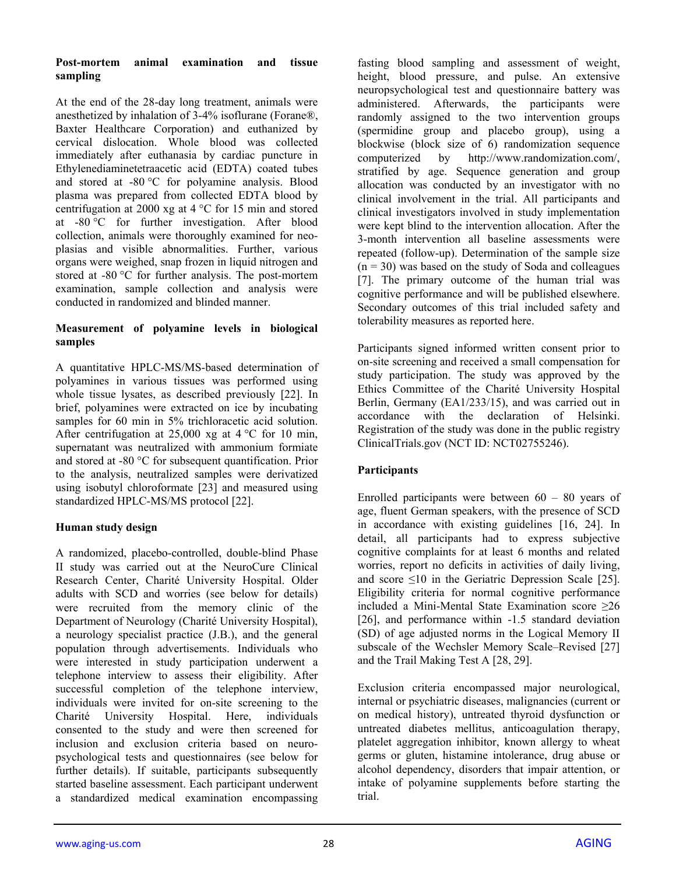## **Post-mortem animal examination and tissue sampling**

At the end of the 28-day long treatment, animals were anesthetized by inhalation of 3-4% isoflurane (Forane®, Baxter Healthcare Corporation) and euthanized by cervical dislocation. Whole blood was collected immediately after euthanasia by cardiac puncture in Ethylenediaminetetraacetic acid (EDTA) coated tubes and stored at -80 °C for polyamine analysis. Blood plasma was prepared from collected EDTA blood by centrifugation at 2000 xg at 4 °C for 15 min and stored at -80 °C for further investigation. After blood collection, animals were thoroughly examined for neoplasias and visible abnormalities. Further, various organs were weighed, snap frozen in liquid nitrogen and stored at -80 °C for further analysis. The post-mortem examination, sample collection and analysis were conducted in randomized and blinded manner.

## **Measurement of polyamine levels in biological samples**

A quantitative HPLC-MS/MS-based determination of polyamines in various tissues was performed using whole tissue lysates, as described previously [22]. In brief, polyamines were extracted on ice by incubating samples for 60 min in 5% trichloracetic acid solution. After centrifugation at 25,000 xg at  $4^{\circ}$ C for 10 min, supernatant was neutralized with ammonium formiate and stored at -80 °C for subsequent quantification. Prior to the analysis, neutralized samples were derivatized using isobutyl chloroformate [23] and measured using standardized HPLC-MS/MS protocol [22].

# **Human study design**

A randomized, placebo-controlled, double-blind Phase II study was carried out at the NeuroCure Clinical Research Center, Charité University Hospital. Older adults with SCD and worries (see below for details) were recruited from the memory clinic of the Department of Neurology (Charité University Hospital), a neurology specialist practice (J.B.), and the general population through advertisements. Individuals who were interested in study participation underwent a telephone interview to assess their eligibility. After successful completion of the telephone interview, individuals were invited for on-site screening to the Charité University Hospital. Here, individuals consented to the study and were then screened for inclusion and exclusion criteria based on neuropsychological tests and questionnaires (see below for further details). If suitable, participants subsequently started baseline assessment. Each participant underwent a standardized medical examination encompassing

fasting blood sampling and assessment of weight, height, blood pressure, and pulse. An extensive neuropsychological test and questionnaire battery was administered. Afterwards, the participants were randomly assigned to the two intervention groups (spermidine group and placebo group), using a blockwise (block size of 6) randomization sequence computerized by http://www.randomization.com/, stratified by age. Sequence generation and group allocation was conducted by an investigator with no clinical involvement in the trial. All participants and clinical investigators involved in study implementation were kept blind to the intervention allocation. After the 3-month intervention all baseline assessments were repeated (follow-up). Determination of the sample size  $(n = 30)$  was based on the study of Soda and colleagues [7]. The primary outcome of the human trial was cognitive performance and will be published elsewhere. Secondary outcomes of this trial included safety and tolerability measures as reported here.

Participants signed informed written consent prior to on-site screening and received a small compensation for study participation. The study was approved by the Ethics Committee of the Charité University Hospital Berlin, Germany (EA1/233/15), and was carried out in accordance with the declaration of Helsinki. Registration of the study was done in the public registry ClinicalTrials.gov (NCT ID: NCT02755246).

# **Participants**

Enrolled participants were between  $60 - 80$  years of age, fluent German speakers, with the presence of SCD in accordance with existing guidelines [16, 24]. In detail, all participants had to express subjective cognitive complaints for at least 6 months and related worries, report no deficits in activities of daily living, and score ≤10 in the Geriatric Depression Scale [25]. Eligibility criteria for normal cognitive performance included a Mini-Mental State Examination score ≥26 [26], and performance within -1.5 standard deviation (SD) of age adjusted norms in the Logical Memory II subscale of the Wechsler Memory Scale–Revised [27] and the Trail Making Test A [28, 29].

Exclusion criteria encompassed major neurological, internal or psychiatric diseases, malignancies (current or on medical history), untreated thyroid dysfunction or untreated diabetes mellitus, anticoagulation therapy, platelet aggregation inhibitor, known allergy to wheat germs or gluten, histamine intolerance, drug abuse or alcohol dependency, disorders that impair attention, or intake of polyamine supplements before starting the trial.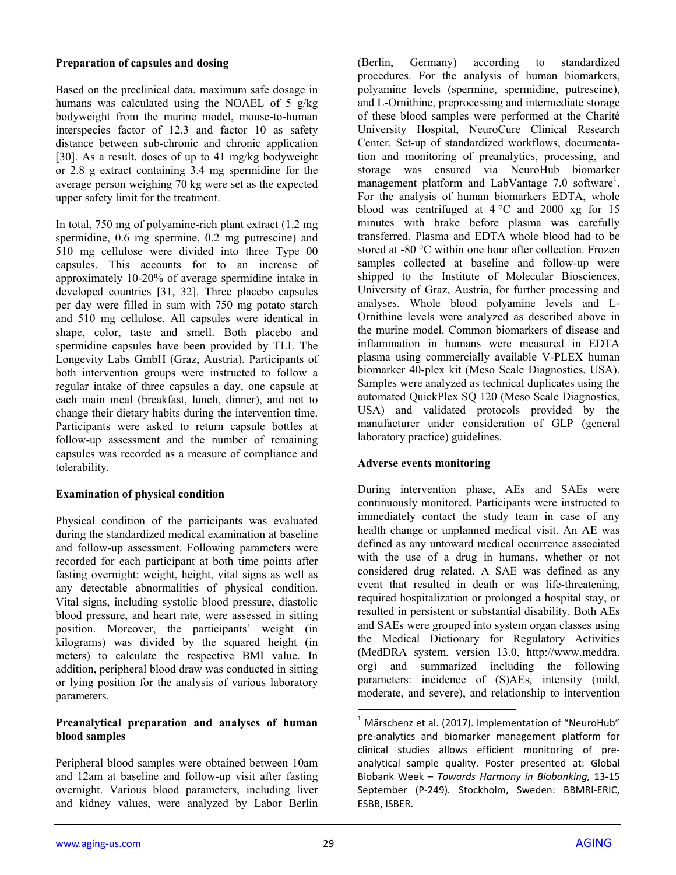## **Preparation of capsules and dosing**

Based on the preclinical data, maximum safe dosage in humans was calculated using the NOAEL of 5 g/kg bodyweight from the murine model, mouse-to-human interspecies factor of 12.3 and factor 10 as safety distance between sub-chronic and chronic application [30]. As a result, doses of up to 41 mg/kg bodyweight or 2.8 g extract containing 3.4 mg spermidine for the average person weighing 70 kg were set as the expected upper safety limit for the treatment.

In total, 750 mg of polyamine-rich plant extract (1.2 mg spermidine, 0.6 mg spermine, 0.2 mg putrescine) and 510 mg cellulose were divided into three Type 00 capsules. This accounts for to an increase of approximately 10-20% of average spermidine intake in developed countries [31, 32]. Three placebo capsules per day were filled in sum with 750 mg potato starch and 510 mg cellulose. All capsules were identical in shape, color, taste and smell. Both placebo and spermidine capsules have been provided by TLL The Longevity Labs GmbH (Graz, Austria). Participants of both intervention groups were instructed to follow a regular intake of three capsules a day, one capsule at each main meal (breakfast, lunch, dinner), and not to change their dietary habits during the intervention time. Participants were asked to return capsule bottles at follow-up assessment and the number of remaining capsules was recorded as a measure of compliance and tolerability.

# **Examination of physical condition**

Physical condition of the participants was evaluated during the standardized medical examination at baseline and follow-up assessment. Following parameters were recorded for each participant at both time points after fasting overnight: weight, height, vital signs as well as any detectable abnormalities of physical condition. Vital signs, including systolic blood pressure, diastolic blood pressure, and heart rate, were assessed in sitting position. Moreover, the participants' weight (in kilograms) was divided by the squared height (in meters) to calculate the respective BMI value. In addition, peripheral blood draw was conducted in sitting or lying position for the analysis of various laboratory parameters.

## **Preanalytical preparation and analyses of human blood samples**

Peripheral blood samples were obtained between 10am and 12am at baseline and follow-up visit after fasting overnight. Various blood parameters, including liver and kidney values, were analyzed by Labor Berlin

(Berlin, Germany) according to standardized procedures. For the analysis of human biomarkers, polyamine levels (spermine, spermidine, putrescine), and L-Ornithine, preprocessing and intermediate storage of these blood samples were performed at the Charité University Hospital, NeuroCure Clinical Research Center. Set-up of standardized workflows, documentation and monitoring of preanalytics, processing, and storage was ensured via NeuroHub biomarker management platform and LabVantage 7.0 software<sup>1</sup>. For the analysis of human biomarkers EDTA, whole blood was centrifuged at 4 °C and 2000 xg for 15 minutes with brake before plasma was carefully transferred. Plasma and EDTA whole blood had to be stored at -80 °C within one hour after collection. Frozen samples collected at baseline and follow-up were shipped to the Institute of Molecular Biosciences, University of Graz, Austria, for further processing and analyses. Whole blood polyamine levels and L-Ornithine levels were analyzed as described above in the murine model. Common biomarkers of disease and inflammation in humans were measured in EDTA plasma using commercially available V-PLEX human biomarker 40-plex kit (Meso Scale Diagnostics, USA). Samples were analyzed as technical duplicates using the automated QuickPlex SQ 120 (Meso Scale Diagnostics, USA) and validated protocols provided by the manufacturer under consideration of GLP (general laboratory practice) guidelines.

# **Adverse events monitoring**

During intervention phase, AEs and SAEs were continuously monitored. Participants were instructed to immediately contact the study team in case of any health change or unplanned medical visit. An AE was defined as any untoward medical occurrence associated with the use of a drug in humans, whether or not considered drug related. A SAE was defined as any event that resulted in death or was life-threatening, required hospitalization or prolonged a hospital stay, or resulted in persistent or substantial disability. Both AEs and SAEs were grouped into system organ classes using the Medical Dictionary for Regulatory Activities (MedDRA system, version 13.0, http://www.meddra. org) and summarized including the following parameters: incidence of (S)AEs, intensity (mild, moderate, and severe), and relationship to intervention

 $\overline{a}$ 

 $1$  Märschenz et al. (2017). Implementation of "NeuroHub" pre‐analytics and biomarker management platform for clinical studies allows efficient monitoring of pre‐ analytical sample quality. Poster presented at: Global Biobank Week – *Towards Harmony in Biobanking,* 13‐15 September (P‐249)*.* Stockholm, Sweden: BBMRI‐ERIC, ESBB, ISBER.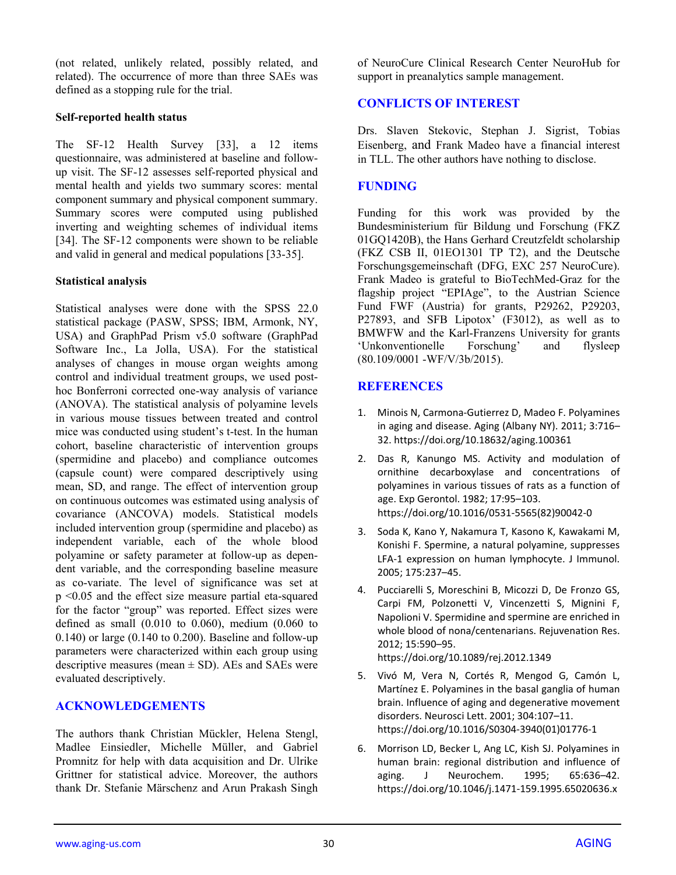(not related, unlikely related, possibly related, and related). The occurrence of more than three SAEs was defined as a stopping rule for the trial.

## **Self-reported health status**

The SF-12 Health Survey [33], a 12 items questionnaire, was administered at baseline and followup visit. The SF-12 assesses self-reported physical and mental health and yields two summary scores: mental component summary and physical component summary. Summary scores were computed using published inverting and weighting schemes of individual items [34]. The SF-12 components were shown to be reliable and valid in general and medical populations [33-35].

## **Statistical analysis**

Statistical analyses were done with the SPSS 22.0 statistical package (PASW, SPSS; IBM, Armonk, NY, USA) and GraphPad Prism v5.0 software (GraphPad Software Inc., La Jolla, USA). For the statistical analyses of changes in mouse organ weights among control and individual treatment groups, we used posthoc Bonferroni corrected one-way analysis of variance (ANOVA). The statistical analysis of polyamine levels in various mouse tissues between treated and control mice was conducted using student's t-test. In the human cohort, baseline characteristic of intervention groups (spermidine and placebo) and compliance outcomes (capsule count) were compared descriptively using mean, SD, and range. The effect of intervention group on continuous outcomes was estimated using analysis of covariance (ANCOVA) models. Statistical models included intervention group (spermidine and placebo) as independent variable, each of the whole blood polyamine or safety parameter at follow-up as dependent variable, and the corresponding baseline measure as co-variate. The level of significance was set at p <0.05 and the effect size measure partial eta-squared for the factor "group" was reported. Effect sizes were defined as small (0.010 to 0.060), medium (0.060 to 0.140) or large (0.140 to 0.200). Baseline and follow-up parameters were characterized within each group using descriptive measures (mean  $\pm$  SD). AEs and SAEs were evaluated descriptively.

## **ACKNOWLEDGEMENTS**

The authors thank Christian Mückler, Helena Stengl, Madlee Einsiedler, Michelle Müller, and Gabriel Promnitz for help with data acquisition and Dr. Ulrike Grittner for statistical advice. Moreover, the authors thank Dr. Stefanie Märschenz and Arun Prakash Singh of NeuroCure Clinical Research Center NeuroHub for support in preanalytics sample management.

# **CONFLICTS OF INTEREST**

Drs. Slaven Stekovic, Stephan J. Sigrist, Tobias Eisenberg, and Frank Madeo have a financial interest in TLL. The other authors have nothing to disclose.

## **FUNDING**

Funding for this work was provided by the Bundesministerium für Bildung und Forschung (FKZ 01GQ1420B), the Hans Gerhard Creutzfeldt scholarship (FKZ CSB II, 01EO1301 TP T2), and the Deutsche Forschungsgemeinschaft (DFG, EXC 257 NeuroCure). Frank Madeo is grateful to BioTechMed-Graz for the flagship project "EPIAge", to the Austrian Science Fund FWF (Austria) for grants, P29262, P29203, P27893, and SFB Lipotox' (F3012), as well as to BMWFW and the Karl-Franzens University for grants 'Unkonventionelle Forschung' and flysleep (80.109/0001 -WF/V/3b/2015).

# **REFERENCES**

- 1. Minois N, Carmona‐Gutierrez D, Madeo F. Polyamines in aging and disease. Aging (Albany NY). 2011; 3:716– 32. https://doi.org/10.18632/aging.100361
- 2. Das R, Kanungo MS. Activity and modulation of ornithine decarboxylase and concentrations of polyamines in various tissues of rats as a function of age. Exp Gerontol. 1982; 17:95–103. https://doi.org/10.1016/0531‐5565(82)90042‐0
- 3. Soda K, Kano Y, Nakamura T, Kasono K, Kawakami M, Konishi F. Spermine, a natural polyamine, suppresses LFA-1 expression on human lymphocyte. J Immunol. 2005; 175:237–45.
- 4. Pucciarelli S, Moreschini B, Micozzi D, De Fronzo GS, Carpi FM, Polzonetti V, Vincenzetti S, Mignini F, Napolioni V. Spermidine and spermine are enriched in whole blood of nona/centenarians. Rejuvenation Res. 2012; 15:590–95. https://doi.org/10.1089/rej.2012.1349
- 5. Vivó M, Vera N, Cortés R, Mengod G, Camón L, Martínez E. Polyamines in the basal ganglia of human brain. Influence of aging and degenerative movement disorders. Neurosci Lett. 2001; 304:107–11. https://doi.org/10.1016/S0304‐3940(01)01776‐1
- 6. Morrison LD, Becker L, Ang LC, Kish SJ. Polyamines in human brain: regional distribution and influence of aging. J Neurochem. 1995; 65:636–42. https://doi.org/10.1046/j.1471‐159.1995.65020636.x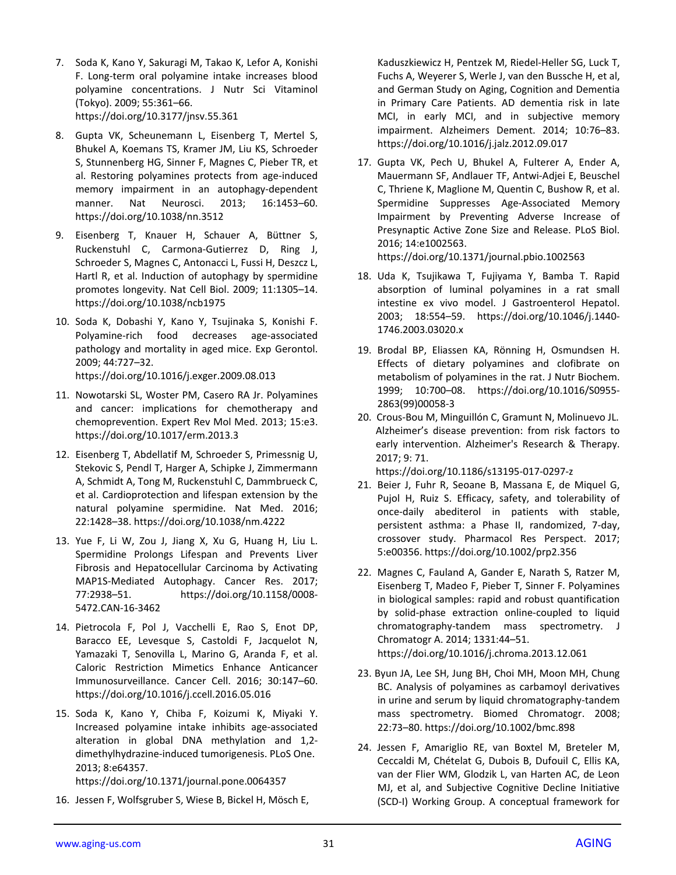- 7. Soda K, Kano Y, Sakuragi M, Takao K, Lefor A, Konishi F. Long‐term oral polyamine intake increases blood polyamine concentrations. J Nutr Sci Vitaminol (Tokyo). 2009; 55:361–66. https://doi.org/10.3177/jnsv.55.361
- 8. Gupta VK, Scheunemann L, Eisenberg T, Mertel S, Bhukel A, Koemans TS, Kramer JM, Liu KS, Schroeder S, Stunnenberg HG, Sinner F, Magnes C, Pieber TR, et al. Restoring polyamines protects from age-induced memory impairment in an autophagy‐dependent manner. Nat Neurosci. 2013; 16:1453–60. https://doi.org/10.1038/nn.3512
- 9. Eisenberg T, Knauer H, Schauer A, Büttner S, Ruckenstuhl C, Carmona‐Gutierrez D, Ring J, Schroeder S, Magnes C, Antonacci L, Fussi H, Deszcz L, Hartl R, et al. Induction of autophagy by spermidine promotes longevity. Nat Cell Biol. 2009; 11:1305–14. https://doi.org/10.1038/ncb1975
- 10. Soda K, Dobashi Y, Kano Y, Tsujinaka S, Konishi F. Polyamine‐rich food decreases age‐associated pathology and mortality in aged mice. Exp Gerontol. 2009; 44:727–32. https://doi.org/10.1016/j.exger.2009.08.013
- 11. Nowotarski SL, Woster PM, Casero RA Jr. Polyamines and cancer: implications for chemotherapy and chemoprevention. Expert Rev Mol Med. 2013; 15:e3. https://doi.org/10.1017/erm.2013.3
- 12. Eisenberg T, Abdellatif M, Schroeder S, Primessnig U, Stekovic S, Pendl T, Harger A, Schipke J, Zimmermann A, Schmidt A, Tong M, Ruckenstuhl C, Dammbrueck C, et al. Cardioprotection and lifespan extension by the natural polyamine spermidine. Nat Med. 2016; 22:1428–38. https://doi.org/10.1038/nm.4222
- 13. Yue F, Li W, Zou J, Jiang X, Xu G, Huang H, Liu L. Spermidine Prolongs Lifespan and Prevents Liver Fibrosis and Hepatocellular Carcinoma by Activating MAP1S‐Mediated Autophagy. Cancer Res. 2017; 77:2938–51. https://doi.org/10.1158/0008‐ 5472.CAN‐16‐3462
- 14. Pietrocola F, Pol J, Vacchelli E, Rao S, Enot DP, Baracco EE, Levesque S, Castoldi F, Jacquelot N, Yamazaki T, Senovilla L, Marino G, Aranda F, et al. Caloric Restriction Mimetics Enhance Anticancer Immunosurveillance. Cancer Cell. 2016; 30:147–60. https://doi.org/10.1016/j.ccell.2016.05.016
- 15. Soda K, Kano Y, Chiba F, Koizumi K, Miyaki Y. Increased polyamine intake inhibits age‐associated alteration in global DNA methylation and 1,2‐ dimethylhydrazine‐induced tumorigenesis. PLoS One. 2013; 8:e64357. https://doi.org/10.1371/journal.pone.0064357
- 16. Jessen F, Wolfsgruber S, Wiese B, Bickel H, Mösch E,

Kaduszkiewicz H, Pentzek M, Riedel‐Heller SG, Luck T, Fuchs A, Weyerer S, Werle J, van den Bussche H, et al, and German Study on Aging, Cognition and Dementia in Primary Care Patients. AD dementia risk in late MCI, in early MCI, and in subjective memory impairment. Alzheimers Dement. 2014; 10:76–83. https://doi.org/10.1016/j.jalz.2012.09.017

17. Gupta VK, Pech U, Bhukel A, Fulterer A, Ender A, Mauermann SF, Andlauer TF, Antwi‐Adjei E, Beuschel C, Thriene K, Maglione M, Quentin C, Bushow R, et al. Spermidine Suppresses Age‐Associated Memory Impairment by Preventing Adverse Increase of Presynaptic Active Zone Size and Release. PLoS Biol. 2016; 14:e1002563.

https://doi.org/10.1371/journal.pbio.1002563

- 18. Uda K, Tsujikawa T, Fujiyama Y, Bamba T. Rapid absorption of luminal polyamines in a rat small intestine ex vivo model. J Gastroenterol Hepatol. 2003; 18:554–59. https://doi.org/10.1046/j.1440‐ 1746.2003.03020.x
- 19. Brodal BP, Eliassen KA, Rönning H, Osmundsen H. Effects of dietary polyamines and clofibrate on metabolism of polyamines in the rat. J Nutr Biochem. 1999; 10:700–08. https://doi.org/10.1016/S0955‐ 2863(99)00058‐3
- 20. Crous‐Bou M, Minguillón C, Gramunt N, Molinuevo JL. Alzheimer's disease prevention: from risk factors to early intervention. Alzheimer's Research & Therapy. 2017; 9: 71.

https://doi.org/10.1186/s13195‐017‐0297‐z

- 21. Beier J, Fuhr R, Seoane B, Massana E, de Miquel G, Pujol H, Ruiz S. Efficacy, safety, and tolerability of once‐daily abediterol in patients with stable, persistent asthma: a Phase II, randomized, 7‐day, crossover study. Pharmacol Res Perspect. 2017; 5:e00356. https://doi.org/10.1002/prp2.356
- 22. Magnes C, Fauland A, Gander E, Narath S, Ratzer M, Eisenberg T, Madeo F, Pieber T, Sinner F. Polyamines in biological samples: rapid and robust quantification by solid‐phase extraction online‐coupled to liquid chromatography-tandem mass spectrometry. J Chromatogr A. 2014; 1331:44–51. https://doi.org/10.1016/j.chroma.2013.12.061
- 23. Byun JA, Lee SH, Jung BH, Choi MH, Moon MH, Chung BC. Analysis of polyamines as carbamoyl derivatives in urine and serum by liquid chromatography‐tandem mass spectrometry. Biomed Chromatogr. 2008; 22:73–80. https://doi.org/10.1002/bmc.898
- 24. Jessen F, Amariglio RE, van Boxtel M, Breteler M, Ceccaldi M, Chételat G, Dubois B, Dufouil C, Ellis KA, van der Flier WM, Glodzik L, van Harten AC, de Leon MJ, et al, and Subjective Cognitive Decline Initiative (SCD‐I) Working Group. A conceptual framework for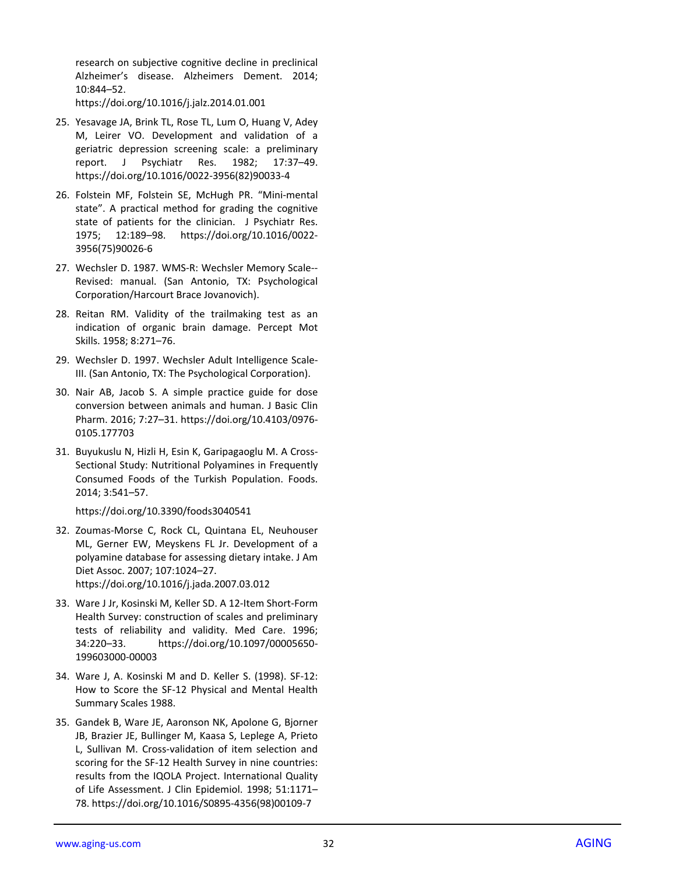research on subjective cognitive decline in preclinical Alzheimer's disease. Alzheimers Dement. 2014; 10:844–52.

https://doi.org/10.1016/j.jalz.2014.01.001

- 25. Yesavage JA, Brink TL, Rose TL, Lum O, Huang V, Adey M, Leirer VO. Development and validation of a geriatric depression screening scale: a preliminary report. J Psychiatr Res. 1982; 17:37–49. https://doi.org/10.1016/0022 ‐3956(82)90033 ‐ 4
- 26. Folstein MF, Folstein SE, McHugh PR. "Mini ‐mental state". A practical method for grading the cognitive state of patients for the clinician. J Psychiatr Res. 1975; 12:189–98. https://doi.org/10.1016/0022 ‐ 3956(75)90026 ‐ 6
- 27. Wechsler D. 1987. WMS ‐R: Wechsler Memory Scale‐‐ Revised: manual. (San Antonio, TX: Psychological Corporation/Harcourt Brace Jovanovich).
- 28. Reitan RM. Validity of the trailmaking test as an indicatio n of organic brain damage. Percept Mot Skills. 1958; 8:271–76.
- 29. Wechsler D. 1997. Wechsler Adult Intelligence Scale ‐ III. (San Antonio, TX: The Psychological Corporation).
- 30. Nair AB, Jacob S. A simple practice guide for dose conversion between animals and human. J Basic Clin Pharm. 2016; 7:27–31. https://doi.org/10.4103/0976 ‐ 0105.177703
- 31. Buyukuslu N, Hizli H, Esin K, Garipagaoglu M. A Cross ‐ Sectional Study: Nutritional Polyamines in Frequently Consumed Foods of the Turkish Population. Foods. 2014; 3:541–57.

https://doi.org/10.3390/foods3040541

32. Zoumas ‐Morse C, Rock CL, Quintana EL, Neuhouser ML, Gerner EW, Meyskens FL Jr. Development of a polyamine database for assessing dietary intake. J Am Diet Assoc. 2007; 107:1024–27.

https://doi.org/10.1016/j.jada.2007.03.012

- 33. Ware J Jr, Kosinski M, Keller SD. A 12-Item Short-Form Health Survey: construction of scales and preliminary tests of reliability and validity. Med Care. 1996; 34:220–33. https://doi.org/10.1097/00005650 ‐ 199603000 ‐00003
- 34. Ware J, A. Kosinski M an d D. Keller S. (1998). SF ‐12: How to Score the SF ‐12 Physical and Mental Health Summary Scales 1988.
- 35. Gandek B, Ware JE, Aaronson NK, Apolone G, Bjorner JB, Brazier JE, Bullinger M, Kaasa S, Leplege A, Prieto L, Sullivan M. Cross ‐validation of item selection and scoring for th e SF ‐12 Health Survey in nine countries: results from the IQOLA Project. International Quality of Life Assessment. J Clin Epidemiol. 1998; 51:1171– 78. https://doi.org/10.1016/S0895 ‐4356(98)00109 ‐ 7